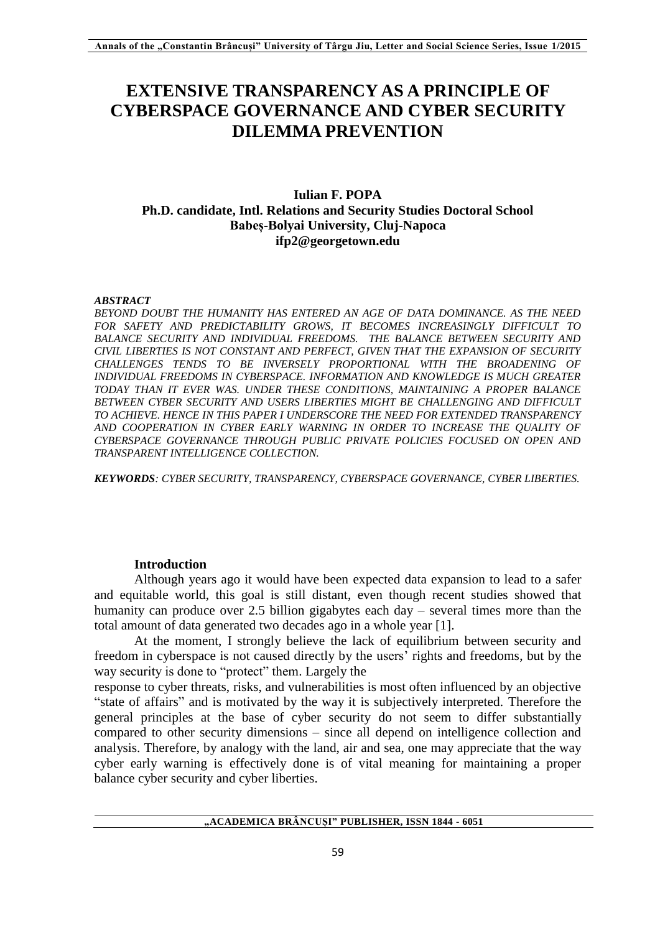# **EXTENSIVE TRANSPARENCY AS A PRINCIPLE OF CYBERSPACE GOVERNANCE AND CYBER SECURITY DILEMMA PREVENTION**

## **Iulian F. POPA Ph.D. candidate, Intl. Relations and Security Studies Doctoral School Babeș-Bolyai University, Cluj-Napoca ifp2@georgetown.edu**

#### *ABSTRACT*

*BEYOND DOUBT THE HUMANITY HAS ENTERED AN AGE OF DATA DOMINANCE. AS THE NEED FOR SAFETY AND PREDICTABILITY GROWS, IT BECOMES INCREASINGLY DIFFICULT TO*  BALANCE SECURITY AND INDIVIDUAL FREEDOMS. THE BALANCE BETWEEN SECURITY AND *CIVIL LIBERTIES IS NOT CONSTANT AND PERFECT, GIVEN THAT THE EXPANSION OF SECURITY CHALLENGES TENDS TO BE INVERSELY PROPORTIONAL WITH THE BROADENING OF INDIVIDUAL FREEDOMS IN CYBERSPACE. INFORMATION AND KNOWLEDGE IS MUCH GREATER TODAY THAN IT EVER WAS. UNDER THESE CONDITIONS, MAINTAINING A PROPER BALANCE BETWEEN CYBER SECURITY AND USERS LIBERTIES MIGHT BE CHALLENGING AND DIFFICULT TO ACHIEVE. HENCE IN THIS PAPER I UNDERSCORE THE NEED FOR EXTENDED TRANSPARENCY AND COOPERATION IN CYBER EARLY WARNING IN ORDER TO INCREASE THE QUALITY OF CYBERSPACE GOVERNANCE THROUGH PUBLIC PRIVATE POLICIES FOCUSED ON OPEN AND TRANSPARENT INTELLIGENCE COLLECTION.*

*KEYWORDS: CYBER SECURITY, TRANSPARENCY, CYBERSPACE GOVERNANCE, CYBER LIBERTIES.*

## **Introduction**

Although years ago it would have been expected data expansion to lead to a safer and equitable world, this goal is still distant, even though recent studies showed that humanity can produce over 2.5 billion gigabytes each day – several times more than the total amount of data generated two decades ago in a whole year [1].

At the moment, I strongly believe the lack of equilibrium between security and freedom in cyberspace is not caused directly by the users' rights and freedoms, but by the way security is done to "protect" them. Largely the

response to cyber threats, risks, and vulnerabilities is most often influenced by an objective "state of affairs" and is motivated by the way it is subjectively interpreted. Therefore the general principles at the base of cyber security do not seem to differ substantially compared to other security dimensions – since all depend on intelligence collection and analysis. Therefore, by analogy with the land, air and sea, one may appreciate that the way cyber early warning is effectively done is of vital meaning for maintaining a proper balance cyber security and cyber liberties.

**"ACADEMICA BRÂNCUȘI" PUBLISHER, ISSN 1844 - 6051**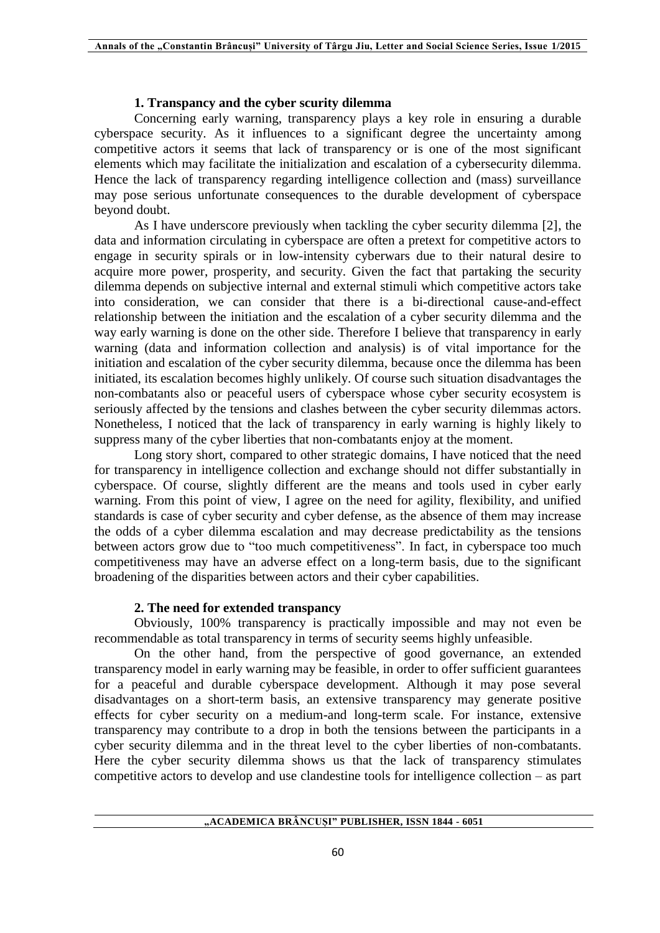## **1. Transpancy and the cyber scurity dilemma**

Concerning early warning, transparency plays a key role in ensuring a durable cyberspace security. As it influences to a significant degree the uncertainty among competitive actors it seems that lack of transparency or is one of the most significant elements which may facilitate the initialization and escalation of a cybersecurity dilemma. Hence the lack of transparency regarding intelligence collection and (mass) surveillance may pose serious unfortunate consequences to the durable development of cyberspace beyond doubt.

As I have underscore previously when tackling the cyber security dilemma [2], the data and information circulating in cyberspace are often a pretext for competitive actors to engage in security spirals or in low-intensity cyberwars due to their natural desire to acquire more power, prosperity, and security. Given the fact that partaking the security dilemma depends on subjective internal and external stimuli which competitive actors take into consideration, we can consider that there is a bi-directional cause-and-effect relationship between the initiation and the escalation of a cyber security dilemma and the way early warning is done on the other side. Therefore I believe that transparency in early warning (data and information collection and analysis) is of vital importance for the initiation and escalation of the cyber security dilemma, because once the dilemma has been initiated, its escalation becomes highly unlikely. Of course such situation disadvantages the non-combatants also or peaceful users of cyberspace whose cyber security ecosystem is seriously affected by the tensions and clashes between the cyber security dilemmas actors. Nonetheless, I noticed that the lack of transparency in early warning is highly likely to suppress many of the cyber liberties that non-combatants enjoy at the moment.

Long story short, compared to other strategic domains, I have noticed that the need for transparency in intelligence collection and exchange should not differ substantially in cyberspace. Of course, slightly different are the means and tools used in cyber early warning. From this point of view, I agree on the need for agility, flexibility, and unified standards is case of cyber security and cyber defense, as the absence of them may increase the odds of a cyber dilemma escalation and may decrease predictability as the tensions between actors grow due to "too much competitiveness". In fact, in cyberspace too much competitiveness may have an adverse effect on a long-term basis, due to the significant broadening of the disparities between actors and their cyber capabilities.

## **2. The need for extended transpancy**

Obviously, 100% transparency is practically impossible and may not even be recommendable as total transparency in terms of security seems highly unfeasible.

On the other hand, from the perspective of good governance, an extended transparency model in early warning may be feasible, in order to offer sufficient guarantees for a peaceful and durable cyberspace development. Although it may pose several disadvantages on a short-term basis, an extensive transparency may generate positive effects for cyber security on a medium-and long-term scale. For instance, extensive transparency may contribute to a drop in both the tensions between the participants in a cyber security dilemma and in the threat level to the cyber liberties of non-combatants. Here the cyber security dilemma shows us that the lack of transparency stimulates competitive actors to develop and use clandestine tools for intelligence collection – as part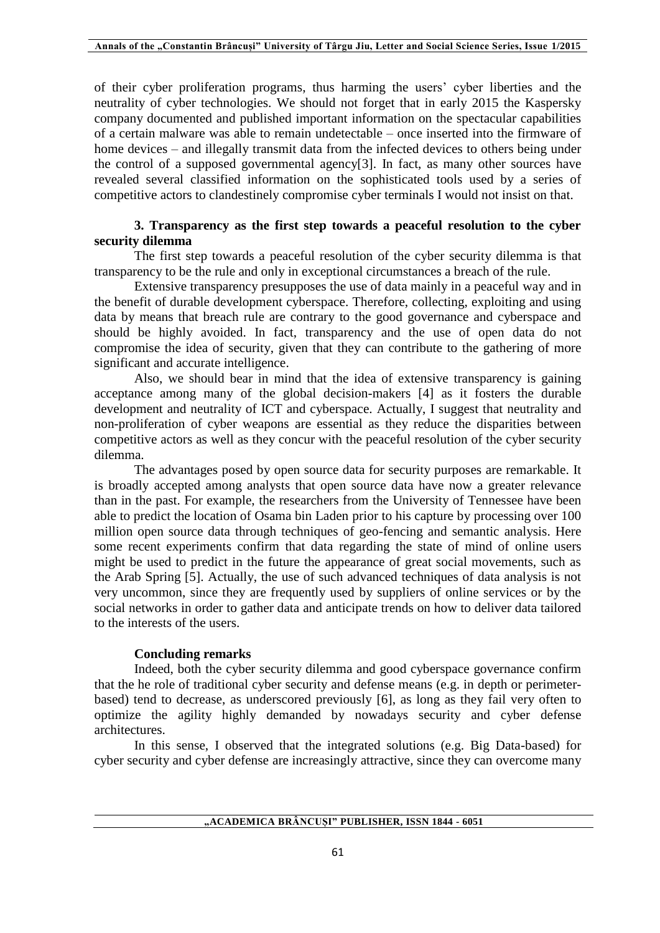of their cyber proliferation programs, thus harming the users' cyber liberties and the neutrality of cyber technologies. We should not forget that in early 2015 the Kaspersky company documented and published important information on the spectacular capabilities of a certain malware was able to remain undetectable – once inserted into the firmware of home devices – and illegally transmit data from the infected devices to others being under the control of a supposed governmental agency[3]. In fact, as many other sources have revealed several classified information on the sophisticated tools used by a series of competitive actors to clandestinely compromise cyber terminals I would not insist on that.

## **3. Transparency as the first step towards a peaceful resolution to the cyber security dilemma**

The first step towards a peaceful resolution of the cyber security dilemma is that transparency to be the rule and only in exceptional circumstances a breach of the rule.

Extensive transparency presupposes the use of data mainly in a peaceful way and in the benefit of durable development cyberspace. Therefore, collecting, exploiting and using data by means that breach rule are contrary to the good governance and cyberspace and should be highly avoided. In fact, transparency and the use of open data do not compromise the idea of security, given that they can contribute to the gathering of more significant and accurate intelligence.

Also, we should bear in mind that the idea of extensive transparency is gaining acceptance among many of the global decision-makers [4] as it fosters the durable development and neutrality of ICT and cyberspace. Actually, I suggest that neutrality and non-proliferation of cyber weapons are essential as they reduce the disparities between competitive actors as well as they concur with the peaceful resolution of the cyber security dilemma.

The advantages posed by open source data for security purposes are remarkable. It is broadly accepted among analysts that open source data have now a greater relevance than in the past. For example, the researchers from the University of Tennessee have been able to predict the location of Osama bin Laden prior to his capture by processing over 100 million open source data through techniques of geo-fencing and semantic analysis. Here some recent experiments confirm that data regarding the state of mind of online users might be used to predict in the future the appearance of great social movements, such as the Arab Spring [5]. Actually, the use of such advanced techniques of data analysis is not very uncommon, since they are frequently used by suppliers of online services or by the social networks in order to gather data and anticipate trends on how to deliver data tailored to the interests of the users.

#### **Concluding remarks**

Indeed, both the cyber security dilemma and good cyberspace governance confirm that the he role of traditional cyber security and defense means (e.g. in depth or perimeterbased) tend to decrease, as underscored previously [6], as long as they fail very often to optimize the agility highly demanded by nowadays security and cyber defense architectures.

In this sense, I observed that the integrated solutions (e.g. Big Data-based) for cyber security and cyber defense are increasingly attractive, since they can overcome many